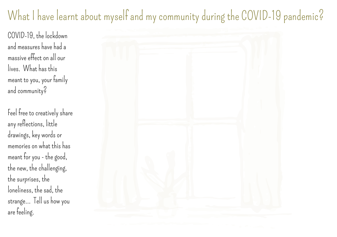# What I have learnt about myself and my community during the COVID-19 pandemic?

COVID-19, the lockdown and measures have had a massive effect onall our lives. What has this meant to you, your family and community?

Feel free to creatively share any reflections, little drawings, key words or memories on what this has meant for you- the good, the new, the challenging, the surprises, the loneliness, the sad, the strange... Tell us how you are feeling.

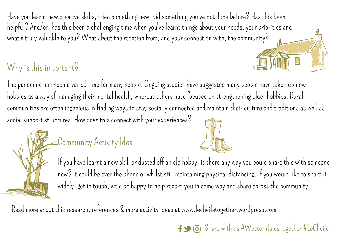Have you learnt new creative skills, tried something new, did something you've not done before? Has this been helpful? And/or, has this been a challenging time when you've learnt things about your needs, your priorities and what's truly valuable to you? What about the reaction from, and your connection with, the community?

### Why is this important?

The pandemic has been a varied time for many people. Ongoing studies have suggested many people have taken up new hobbies as a way of managing their mental health, whereas others have focused on strengthening older hobbies. Rural communities are often ingenious in finding ways to stay socially connected and maintain their culture and traditions as well as social support structures. How does this connect with your experiences?

## Community Activity Idea



If you have learnt a new skill or dusted off an old hobby, is there any way you could share this with someone new? It could be over the phone or whilst still maintaining physical distancing. If you would like to share it widely, get in touch, we'd be happy to help record you in some way and share across the community!

Read more about this research, references & more activity ideas at [www.lecheiletogether.wordpress.co](http://www.lecheiletogether.wordpress.com/)m

#### $\mathsf{f}$   $\bigcirc$   $\mathsf{G}$  Share with us #WesternIslesTogether #LeCheile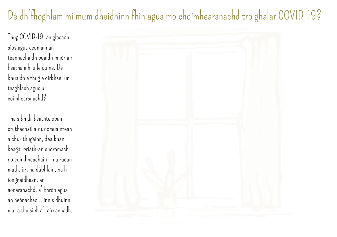## Dè dh'fhoghlam mi mum dheidhinn fhìn agus mo choimhearsnachd tro ghalar COVID-19?

Thug COVID-19, anglasadh sìos agus ceumannan teannachaidh buaidh mhòr air beatha ah-uileduine. Dè bhuaidh a thug e oirbhse, ur teaghlach agus ur coimhearsnachd?

Tha sibh di-beathte obair cruthachail airur smuaintean a chur thugainn, dealbhan beaga, briathran cudromach no cuimhneachain – na rudan math, ùr, na dùbhlain, na hiongnaidhean, an aonaranachd, a'bhrònagus anneònachas... innisdhuinn mar a tha sibh a' faireachadh.